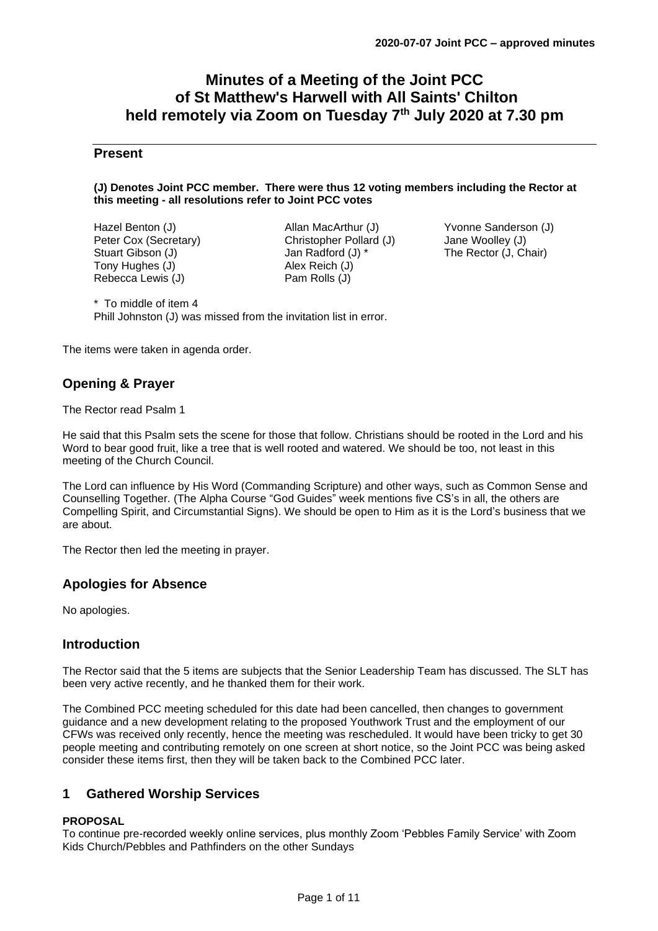# **Minutes of a Meeting of the Joint PCC of St Matthew's Harwell with All Saints' Chilton held remotely via Zoom on Tuesday 7 th July 2020 at 7.30 pm**

## **Present**

#### **(J) Denotes Joint PCC member. There were thus 12 voting members including the Rector at this meeting - all resolutions refer to Joint PCC votes**

Hazel Benton (J) Peter Cox (Secretary) Stuart Gibson (J) Tony Hughes (J) Rebecca Lewis (J)

Allan MacArthur (J) Christopher Pollard (J) Jan Radford (J) \* Alex Reich (J) Pam Rolls (J)

Yvonne Sanderson (J) Jane Woolley (J) The Rector (J, Chair)

\* To middle of item 4 Phill Johnston (J) was missed from the invitation list in error.

The items were taken in agenda order.

## **Opening & Prayer**

#### The Rector read Psalm 1

He said that this Psalm sets the scene for those that follow. Christians should be rooted in the Lord and his Word to bear good fruit, like a tree that is well rooted and watered. We should be too, not least in this meeting of the Church Council.

The Lord can influence by His Word (Commanding Scripture) and other ways, such as Common Sense and Counselling Together. (The Alpha Course "God Guides" week mentions five CS's in all, the others are Compelling Spirit, and Circumstantial Signs). We should be open to Him as it is the Lord's business that we are about.

The Rector then led the meeting in prayer.

## **Apologies for Absence**

No apologies.

## **Introduction**

The Rector said that the 5 items are subjects that the Senior Leadership Team has discussed. The SLT has been very active recently, and he thanked them for their work.

The Combined PCC meeting scheduled for this date had been cancelled, then changes to government guidance and a new development relating to the proposed Youthwork Trust and the employment of our CFWs was received only recently, hence the meeting was rescheduled. It would have been tricky to get 30 people meeting and contributing remotely on one screen at short notice, so the Joint PCC was being asked consider these items first, then they will be taken back to the Combined PCC later.

## **1 Gathered Worship Services**

### **PROPOSAL**

To continue pre-recorded weekly online services, plus monthly Zoom 'Pebbles Family Service' with Zoom Kids Church/Pebbles and Pathfinders on the other Sundays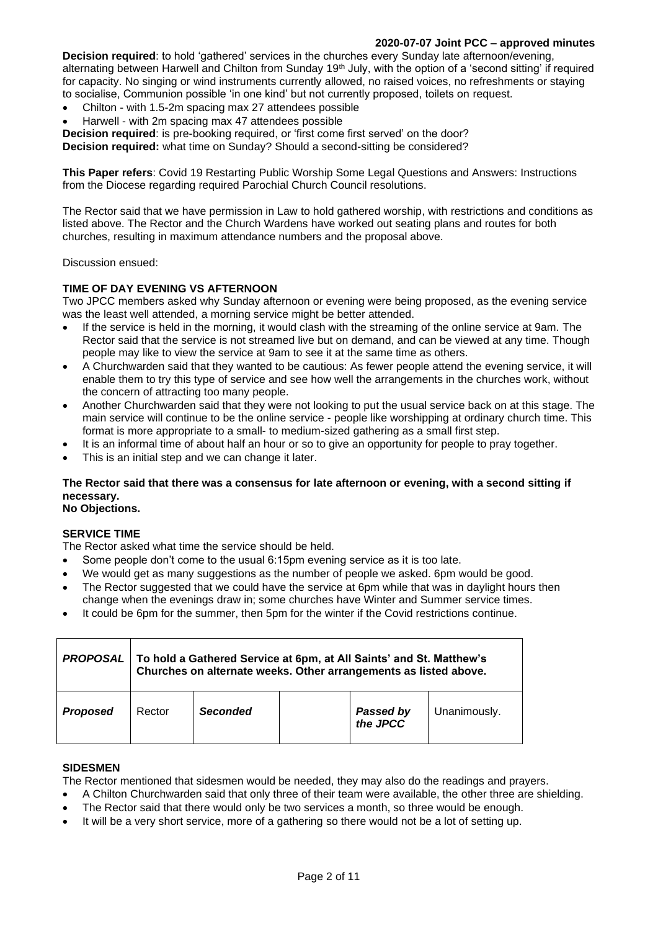### **2020-07-07 Joint PCC – approved minutes**

**Decision required**: to hold 'gathered' services in the churches every Sunday late afternoon/evening, alternating between Harwell and Chilton from Sunday 19<sup>th</sup> July, with the option of a 'second sitting' if required for capacity. No singing or wind instruments currently allowed, no raised voices, no refreshments or staying to socialise, Communion possible 'in one kind' but not currently proposed, toilets on request.

- Chilton with 1.5-2m spacing max 27 attendees possible
- Harwell with 2m spacing max 47 attendees possible

**Decision required**: is pre-booking required, or 'first come first served' on the door?

**Decision required:** what time on Sunday? Should a second-sitting be considered?

**This Paper refers**: Covid 19 Restarting Public Worship Some Legal Questions and Answers: Instructions from the Diocese regarding required Parochial Church Council resolutions.

The Rector said that we have permission in Law to hold gathered worship, with restrictions and conditions as listed above. The Rector and the Church Wardens have worked out seating plans and routes for both churches, resulting in maximum attendance numbers and the proposal above.

Discussion ensued:

### **TIME OF DAY EVENING VS AFTERNOON**

Two JPCC members asked why Sunday afternoon or evening were being proposed, as the evening service was the least well attended, a morning service might be better attended.

- If the service is held in the morning, it would clash with the streaming of the online service at 9am. The Rector said that the service is not streamed live but on demand, and can be viewed at any time. Though people may like to view the service at 9am to see it at the same time as others.
- A Churchwarden said that they wanted to be cautious: As fewer people attend the evening service, it will enable them to try this type of service and see how well the arrangements in the churches work, without the concern of attracting too many people.
- Another Churchwarden said that they were not looking to put the usual service back on at this stage. The main service will continue to be the online service - people like worshipping at ordinary church time. This format is more appropriate to a small- to medium-sized gathering as a small first step.
- It is an informal time of about half an hour or so to give an opportunity for people to pray together.
- This is an initial step and we can change it later.

## **The Rector said that there was a consensus for late afternoon or evening, with a second sitting if necessary.**

**No Objections.**

#### **SERVICE TIME**

The Rector asked what time the service should be held.

- Some people don't come to the usual 6:15pm evening service as it is too late.
- We would get as many suggestions as the number of people we asked. 6pm would be good.
- The Rector suggested that we could have the service at 6pm while that was in daylight hours then change when the evenings draw in; some churches have Winter and Summer service times.
- It could be 6pm for the summer, then 5pm for the winter if the Covid restrictions continue.

| <b>PROPOSAL</b> | To hold a Gathered Service at 6pm, at All Saints' and St. Matthew's<br>Churches on alternate weeks. Other arrangements as listed above. |                 |  |                       |              |  |  |
|-----------------|-----------------------------------------------------------------------------------------------------------------------------------------|-----------------|--|-----------------------|--------------|--|--|
| <b>Proposed</b> | Rector                                                                                                                                  | <b>Seconded</b> |  | Passed by<br>the JPCC | Unanimously. |  |  |

#### **SIDESMEN**

The Rector mentioned that sidesmen would be needed, they may also do the readings and prayers.

- A Chilton Churchwarden said that only three of their team were available, the other three are shielding.
- The Rector said that there would only be two services a month, so three would be enough.
- It will be a very short service, more of a gathering so there would not be a lot of setting up.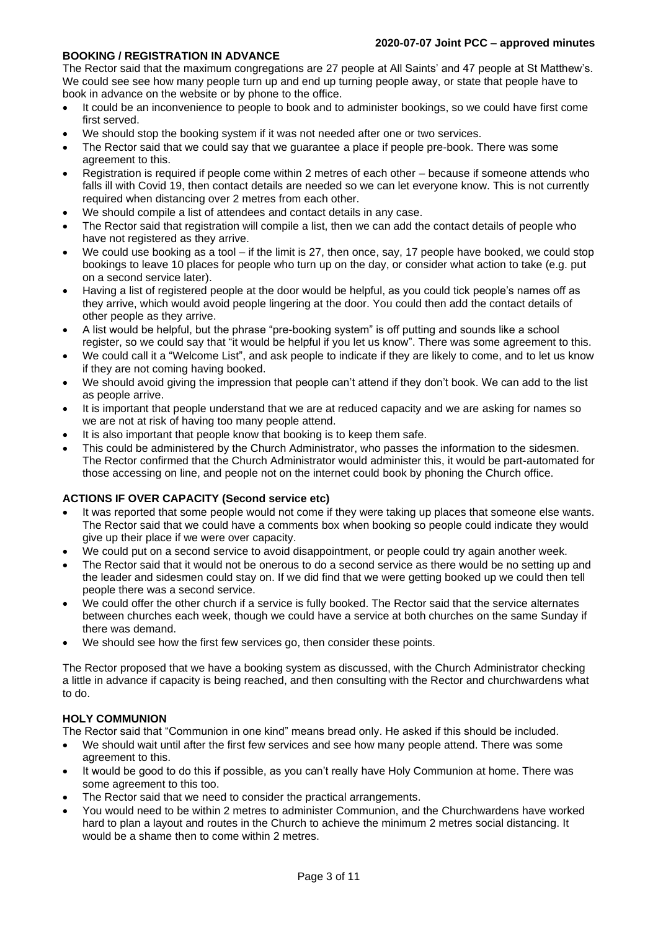### **BOOKING / REGISTRATION IN ADVANCE**

The Rector said that the maximum congregations are 27 people at All Saints' and 47 people at St Matthew's. We could see see how many people turn up and end up turning people away, or state that people have to book in advance on the website or by phone to the office.

- It could be an inconvenience to people to book and to administer bookings, so we could have first come first served.
- We should stop the booking system if it was not needed after one or two services.
- The Rector said that we could say that we guarantee a place if people pre-book. There was some agreement to this.
- Registration is required if people come within 2 metres of each other because if someone attends who falls ill with Covid 19, then contact details are needed so we can let everyone know. This is not currently required when distancing over 2 metres from each other.
- We should compile a list of attendees and contact details in any case.
- The Rector said that registration will compile a list, then we can add the contact details of people who have not registered as they arrive.
- We could use booking as a tool if the limit is 27, then once, say, 17 people have booked, we could stop bookings to leave 10 places for people who turn up on the day, or consider what action to take (e.g. put on a second service later).
- Having a list of registered people at the door would be helpful, as you could tick people's names off as they arrive, which would avoid people lingering at the door. You could then add the contact details of other people as they arrive.
- A list would be helpful, but the phrase "pre-booking system" is off putting and sounds like a school register, so we could say that "it would be helpful if you let us know". There was some agreement to this.
- We could call it a "Welcome List", and ask people to indicate if they are likely to come, and to let us know if they are not coming having booked.
- We should avoid giving the impression that people can't attend if they don't book. We can add to the list as people arrive.
- It is important that people understand that we are at reduced capacity and we are asking for names so we are not at risk of having too many people attend.
- It is also important that people know that booking is to keep them safe.
- This could be administered by the Church Administrator, who passes the information to the sidesmen. The Rector confirmed that the Church Administrator would administer this, it would be part-automated for those accessing on line, and people not on the internet could book by phoning the Church office.

### **ACTIONS IF OVER CAPACITY (Second service etc)**

- It was reported that some people would not come if they were taking up places that someone else wants. The Rector said that we could have a comments box when booking so people could indicate they would give up their place if we were over capacity.
- We could put on a second service to avoid disappointment, or people could try again another week.
- The Rector said that it would not be onerous to do a second service as there would be no setting up and the leader and sidesmen could stay on. If we did find that we were getting booked up we could then tell people there was a second service.
- We could offer the other church if a service is fully booked. The Rector said that the service alternates between churches each week, though we could have a service at both churches on the same Sunday if there was demand.
- We should see how the first few services go, then consider these points.

The Rector proposed that we have a booking system as discussed, with the Church Administrator checking a little in advance if capacity is being reached, and then consulting with the Rector and churchwardens what to do.

### **HOLY COMMUNION**

The Rector said that "Communion in one kind" means bread only. He asked if this should be included.

- We should wait until after the first few services and see how many people attend. There was some agreement to this.
- It would be good to do this if possible, as you can't really have Holy Communion at home. There was some agreement to this too.
- The Rector said that we need to consider the practical arrangements.
- You would need to be within 2 metres to administer Communion, and the Churchwardens have worked hard to plan a layout and routes in the Church to achieve the minimum 2 metres social distancing. It would be a shame then to come within 2 metres.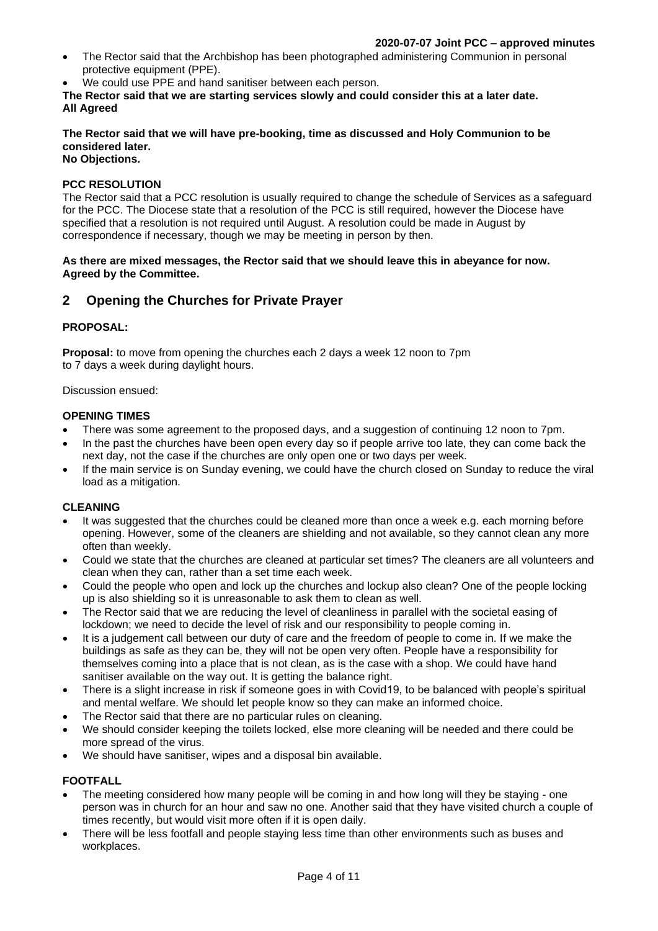- The Rector said that the Archbishop has been photographed administering Communion in personal protective equipment (PPE).
- We could use PPE and hand sanitiser between each person.

**The Rector said that we are starting services slowly and could consider this at a later date. All Agreed**

## **The Rector said that we will have pre-booking, time as discussed and Holy Communion to be considered later.**

## **No Objections.**

### **PCC RESOLUTION**

The Rector said that a PCC resolution is usually required to change the schedule of Services as a safeguard for the PCC. The Diocese state that a resolution of the PCC is still required, however the Diocese have specified that a resolution is not required until August. A resolution could be made in August by correspondence if necessary, though we may be meeting in person by then.

#### **As there are mixed messages, the Rector said that we should leave this in abeyance for now. Agreed by the Committee.**

## **2 Opening the Churches for Private Prayer**

### **PROPOSAL:**

**Proposal:** to move from opening the churches each 2 days a week 12 noon to 7pm to 7 days a week during daylight hours.

Discussion ensued:

### **OPENING TIMES**

- There was some agreement to the proposed days, and a suggestion of continuing 12 noon to 7pm.
- In the past the churches have been open every day so if people arrive too late, they can come back the next day, not the case if the churches are only open one or two days per week.
- If the main service is on Sunday evening, we could have the church closed on Sunday to reduce the viral load as a mitigation.

### **CLEANING**

- It was suggested that the churches could be cleaned more than once a week e.g. each morning before opening. However, some of the cleaners are shielding and not available, so they cannot clean any more often than weekly.
- Could we state that the churches are cleaned at particular set times? The cleaners are all volunteers and clean when they can, rather than a set time each week.
- Could the people who open and lock up the churches and lockup also clean? One of the people locking up is also shielding so it is unreasonable to ask them to clean as well.
- The Rector said that we are reducing the level of cleanliness in parallel with the societal easing of lockdown; we need to decide the level of risk and our responsibility to people coming in.
- It is a judgement call between our duty of care and the freedom of people to come in. If we make the buildings as safe as they can be, they will not be open very often. People have a responsibility for themselves coming into a place that is not clean, as is the case with a shop. We could have hand sanitiser available on the way out. It is getting the balance right.
- There is a slight increase in risk if someone goes in with Covid19, to be balanced with people's spiritual and mental welfare. We should let people know so they can make an informed choice.
- The Rector said that there are no particular rules on cleaning.
- We should consider keeping the toilets locked, else more cleaning will be needed and there could be more spread of the virus.
- We should have sanitiser, wipes and a disposal bin available.

## **FOOTFALL**

- The meeting considered how many people will be coming in and how long will they be staying one person was in church for an hour and saw no one. Another said that they have visited church a couple of times recently, but would visit more often if it is open daily.
- There will be less footfall and people staying less time than other environments such as buses and workplaces.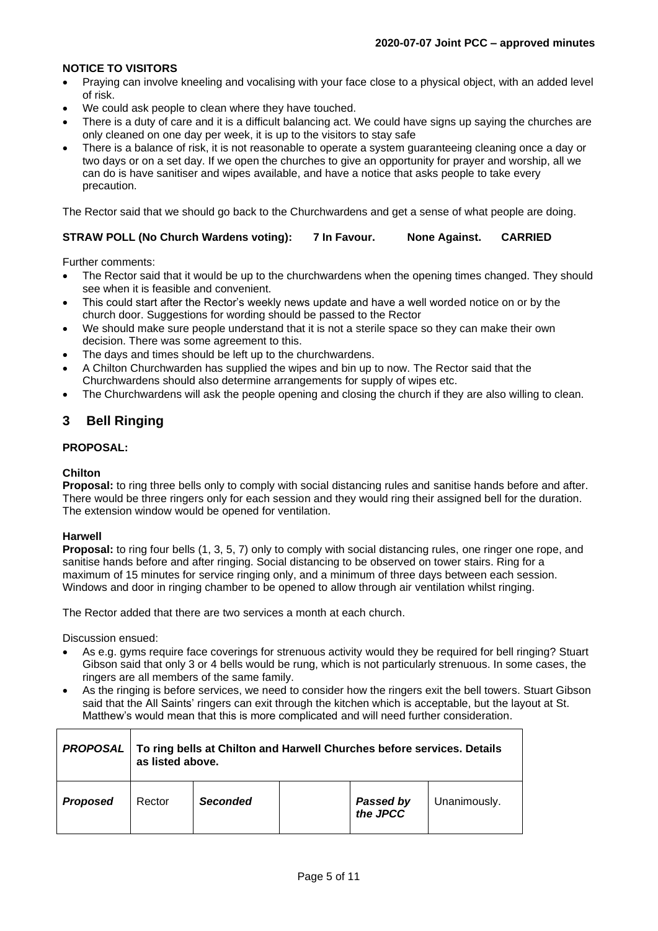### **NOTICE TO VISITORS**

- Praying can involve kneeling and vocalising with your face close to a physical object, with an added level of risk.
- We could ask people to clean where they have touched.
- There is a duty of care and it is a difficult balancing act. We could have signs up saying the churches are only cleaned on one day per week, it is up to the visitors to stay safe
- There is a balance of risk, it is not reasonable to operate a system guaranteeing cleaning once a day or two days or on a set day. If we open the churches to give an opportunity for prayer and worship, all we can do is have sanitiser and wipes available, and have a notice that asks people to take every precaution.

The Rector said that we should go back to the Churchwardens and get a sense of what people are doing.

### **STRAW POLL (No Church Wardens voting): 7 In Favour. None Against. CARRIED**

Further comments:

- The Rector said that it would be up to the churchwardens when the opening times changed. They should see when it is feasible and convenient.
- This could start after the Rector's weekly news update and have a well worded notice on or by the church door. Suggestions for wording should be passed to the Rector
- We should make sure people understand that it is not a sterile space so they can make their own decision. There was some agreement to this.
- The days and times should be left up to the churchwardens.
- A Chilton Churchwarden has supplied the wipes and bin up to now. The Rector said that the Churchwardens should also determine arrangements for supply of wipes etc.
- The Churchwardens will ask the people opening and closing the church if they are also willing to clean.

## **3 Bell Ringing**

#### **PROPOSAL:**

### **Chilton**

**Proposal:** to ring three bells only to comply with social distancing rules and sanitise hands before and after. There would be three ringers only for each session and they would ring their assigned bell for the duration. The extension window would be opened for ventilation.

#### **Harwell**

**Proposal:** to ring four bells (1, 3, 5, 7) only to comply with social distancing rules, one ringer one rope, and sanitise hands before and after ringing. Social distancing to be observed on tower stairs. Ring for a maximum of 15 minutes for service ringing only, and a minimum of three days between each session. Windows and door in ringing chamber to be opened to allow through air ventilation whilst ringing.

The Rector added that there are two services a month at each church.

Discussion ensued:

- As e.g. gyms require face coverings for strenuous activity would they be required for bell ringing? Stuart Gibson said that only 3 or 4 bells would be rung, which is not particularly strenuous. In some cases, the ringers are all members of the same family.
- As the ringing is before services, we need to consider how the ringers exit the bell towers. Stuart Gibson said that the All Saints' ringers can exit through the kitchen which is acceptable, but the layout at St. Matthew's would mean that this is more complicated and will need further consideration.

| <b>PROPOSAL</b> | To ring bells at Chilton and Harwell Churches before services. Details<br>as listed above. |                 |  |                              |              |  |
|-----------------|--------------------------------------------------------------------------------------------|-----------------|--|------------------------------|--------------|--|
| <b>Proposed</b> | Rector                                                                                     | <b>Seconded</b> |  | <b>Passed by</b><br>the JPCC | Unanimously. |  |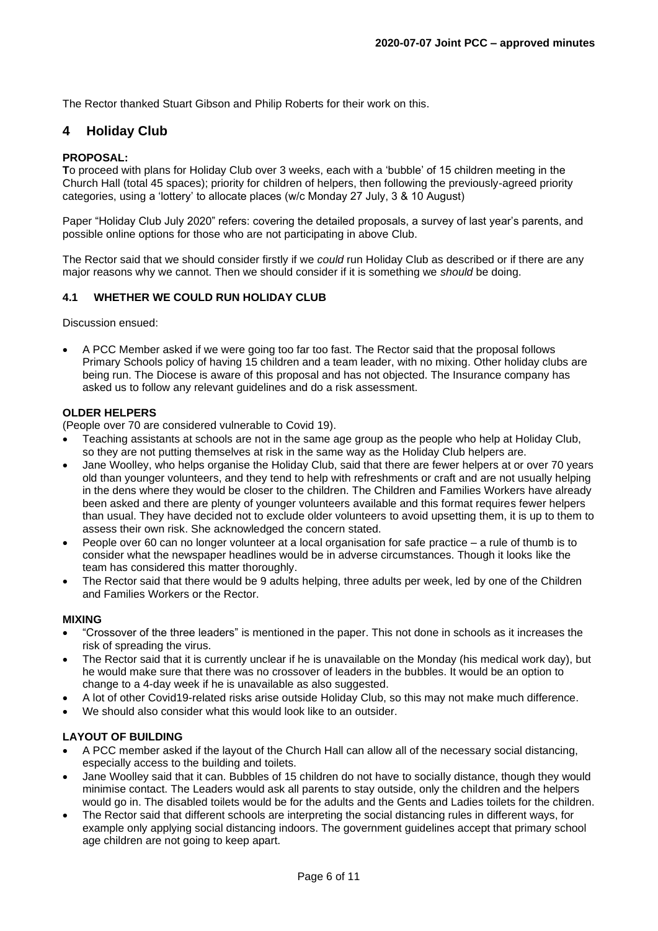The Rector thanked Stuart Gibson and Philip Roberts for their work on this.

## **4 Holiday Club**

### **PROPOSAL:**

**T**o proceed with plans for Holiday Club over 3 weeks, each with a 'bubble' of 15 children meeting in the Church Hall (total 45 spaces); priority for children of helpers, then following the previously-agreed priority categories, using a 'lottery' to allocate places (w/c Monday 27 July, 3 & 10 August)

Paper "Holiday Club July 2020" refers: covering the detailed proposals, a survey of last year's parents, and possible online options for those who are not participating in above Club.

The Rector said that we should consider firstly if we *could* run Holiday Club as described or if there are any major reasons why we cannot. Then we should consider if it is something we *should* be doing.

### **4.1 WHETHER WE COULD RUN HOLIDAY CLUB**

Discussion ensued:

• A PCC Member asked if we were going too far too fast. The Rector said that the proposal follows Primary Schools policy of having 15 children and a team leader, with no mixing. Other holiday clubs are being run. The Diocese is aware of this proposal and has not objected. The Insurance company has asked us to follow any relevant guidelines and do a risk assessment.

#### **OLDER HELPERS**

(People over 70 are considered vulnerable to Covid 19).

- Teaching assistants at schools are not in the same age group as the people who help at Holiday Club, so they are not putting themselves at risk in the same way as the Holiday Club helpers are.
- Jane Woolley, who helps organise the Holiday Club, said that there are fewer helpers at or over 70 years old than younger volunteers, and they tend to help with refreshments or craft and are not usually helping in the dens where they would be closer to the children. The Children and Families Workers have already been asked and there are plenty of younger volunteers available and this format requires fewer helpers than usual. They have decided not to exclude older volunteers to avoid upsetting them, it is up to them to assess their own risk. She acknowledged the concern stated.
- People over 60 can no longer volunteer at a local organisation for safe practice a rule of thumb is to consider what the newspaper headlines would be in adverse circumstances. Though it looks like the team has considered this matter thoroughly.
- The Rector said that there would be 9 adults helping, three adults per week, led by one of the Children and Families Workers or the Rector.

#### **MIXING**

- "Crossover of the three leaders" is mentioned in the paper. This not done in schools as it increases the risk of spreading the virus.
- The Rector said that it is currently unclear if he is unavailable on the Monday (his medical work day), but he would make sure that there was no crossover of leaders in the bubbles. It would be an option to change to a 4-day week if he is unavailable as also suggested.
- A lot of other Covid19-related risks arise outside Holiday Club, so this may not make much difference.
- We should also consider what this would look like to an outsider.

## **LAYOUT OF BUILDING**

- A PCC member asked if the layout of the Church Hall can allow all of the necessary social distancing, especially access to the building and toilets.
- Jane Woolley said that it can. Bubbles of 15 children do not have to socially distance, though they would minimise contact. The Leaders would ask all parents to stay outside, only the children and the helpers would go in. The disabled toilets would be for the adults and the Gents and Ladies toilets for the children.
- The Rector said that different schools are interpreting the social distancing rules in different ways, for example only applying social distancing indoors. The government guidelines accept that primary school age children are not going to keep apart.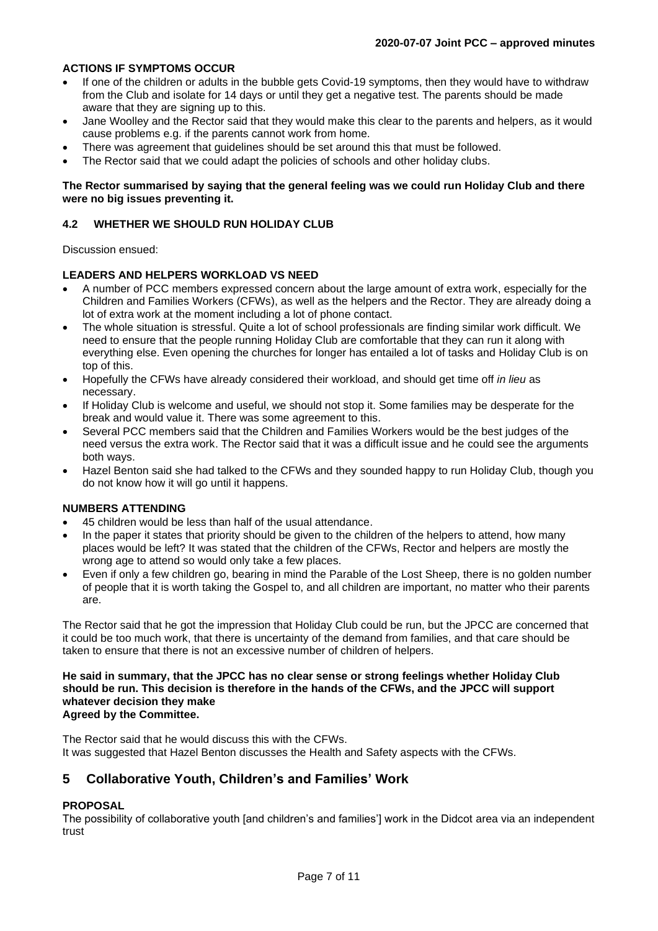## **ACTIONS IF SYMPTOMS OCCUR**

- If one of the children or adults in the bubble gets Covid-19 symptoms, then they would have to withdraw from the Club and isolate for 14 days or until they get a negative test. The parents should be made aware that they are signing up to this.
- Jane Woolley and the Rector said that they would make this clear to the parents and helpers, as it would cause problems e.g. if the parents cannot work from home.
- There was agreement that guidelines should be set around this that must be followed.
- The Rector said that we could adapt the policies of schools and other holiday clubs.

#### **The Rector summarised by saying that the general feeling was we could run Holiday Club and there were no big issues preventing it.**

### **4.2 WHETHER WE SHOULD RUN HOLIDAY CLUB**

Discussion ensued:

## **LEADERS AND HELPERS WORKLOAD VS NEED**

- A number of PCC members expressed concern about the large amount of extra work, especially for the Children and Families Workers (CFWs), as well as the helpers and the Rector. They are already doing a lot of extra work at the moment including a lot of phone contact.
- The whole situation is stressful. Quite a lot of school professionals are finding similar work difficult. We need to ensure that the people running Holiday Club are comfortable that they can run it along with everything else. Even opening the churches for longer has entailed a lot of tasks and Holiday Club is on top of this.
- Hopefully the CFWs have already considered their workload, and should get time off *in lieu* as necessary.
- If Holiday Club is welcome and useful, we should not stop it. Some families may be desperate for the break and would value it. There was some agreement to this.
- Several PCC members said that the Children and Families Workers would be the best judges of the need versus the extra work. The Rector said that it was a difficult issue and he could see the arguments both ways.
- Hazel Benton said she had talked to the CFWs and they sounded happy to run Holiday Club, though you do not know how it will go until it happens.

## **NUMBERS ATTENDING**

- 45 children would be less than half of the usual attendance.
- In the paper it states that priority should be given to the children of the helpers to attend, how many places would be left? It was stated that the children of the CFWs, Rector and helpers are mostly the wrong age to attend so would only take a few places.
- Even if only a few children go, bearing in mind the Parable of the Lost Sheep, there is no golden number of people that it is worth taking the Gospel to, and all children are important, no matter who their parents are.

The Rector said that he got the impression that Holiday Club could be run, but the JPCC are concerned that it could be too much work, that there is uncertainty of the demand from families, and that care should be taken to ensure that there is not an excessive number of children of helpers.

#### **He said in summary, that the JPCC has no clear sense or strong feelings whether Holiday Club should be run. This decision is therefore in the hands of the CFWs, and the JPCC will support whatever decision they make Agreed by the Committee.**

The Rector said that he would discuss this with the CFWs. It was suggested that Hazel Benton discusses the Health and Safety aspects with the CFWs.

## **5 Collaborative Youth, Children's and Families' Work**

## **PROPOSAL**

The possibility of collaborative youth [and children's and families'] work in the Didcot area via an independent trust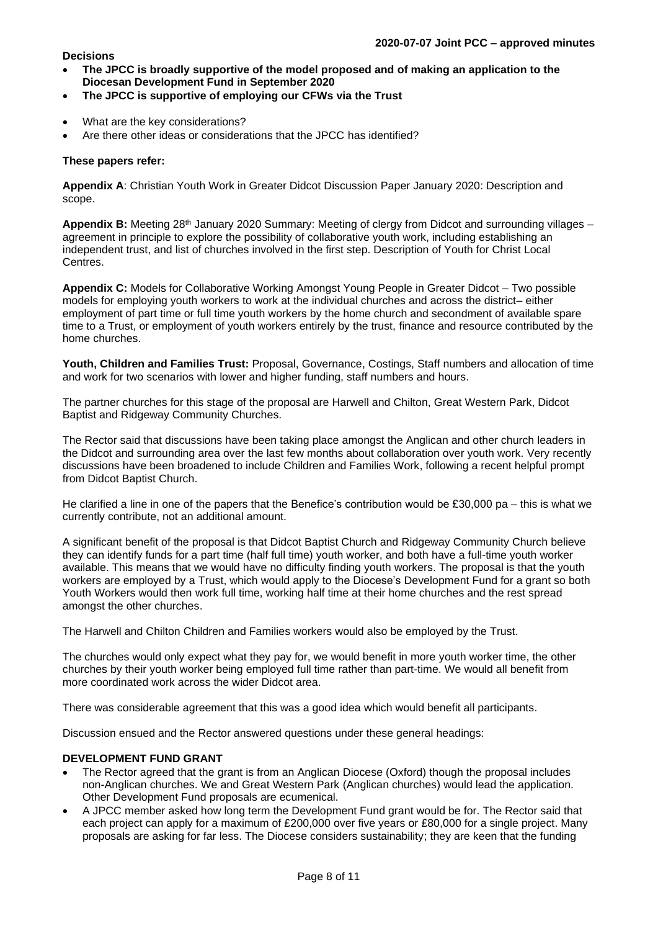#### **Decisions**

- **The JPCC is broadly supportive of the model proposed and of making an application to the Diocesan Development Fund in September 2020**
- **The JPCC is supportive of employing our CFWs via the Trust**
- What are the key considerations?
- Are there other ideas or considerations that the JPCC has identified?

### **These papers refer:**

**Appendix A**: Christian Youth Work in Greater Didcot Discussion Paper January 2020: Description and scope.

**Appendix B:** Meeting 28th January 2020 Summary: Meeting of clergy from Didcot and surrounding villages – agreement in principle to explore the possibility of collaborative youth work, including establishing an independent trust, and list of churches involved in the first step. Description of Youth for Christ Local Centres.

**Appendix C:** Models for Collaborative Working Amongst Young People in Greater Didcot – Two possible models for employing youth workers to work at the individual churches and across the district– either employment of part time or full time youth workers by the home church and secondment of available spare time to a Trust, or employment of youth workers entirely by the trust, finance and resource contributed by the home churches.

**Youth, Children and Families Trust:** Proposal, Governance, Costings, Staff numbers and allocation of time and work for two scenarios with lower and higher funding, staff numbers and hours.

The partner churches for this stage of the proposal are Harwell and Chilton, Great Western Park, Didcot Baptist and Ridgeway Community Churches.

The Rector said that discussions have been taking place amongst the Anglican and other church leaders in the Didcot and surrounding area over the last few months about collaboration over youth work. Very recently discussions have been broadened to include Children and Families Work, following a recent helpful prompt from Didcot Baptist Church.

He clarified a line in one of the papers that the Benefice's contribution would be £30,000 pa – this is what we currently contribute, not an additional amount.

A significant benefit of the proposal is that Didcot Baptist Church and Ridgeway Community Church believe they can identify funds for a part time (half full time) youth worker, and both have a full-time youth worker available. This means that we would have no difficulty finding youth workers. The proposal is that the youth workers are employed by a Trust, which would apply to the Diocese's Development Fund for a grant so both Youth Workers would then work full time, working half time at their home churches and the rest spread amongst the other churches.

The Harwell and Chilton Children and Families workers would also be employed by the Trust.

The churches would only expect what they pay for, we would benefit in more youth worker time, the other churches by their youth worker being employed full time rather than part-time. We would all benefit from more coordinated work across the wider Didcot area.

There was considerable agreement that this was a good idea which would benefit all participants.

Discussion ensued and the Rector answered questions under these general headings:

### **DEVELOPMENT FUND GRANT**

- The Rector agreed that the grant is from an Anglican Diocese (Oxford) though the proposal includes non-Anglican churches. We and Great Western Park (Anglican churches) would lead the application. Other Development Fund proposals are ecumenical.
- A JPCC member asked how long term the Development Fund grant would be for. The Rector said that each project can apply for a maximum of £200,000 over five years or £80,000 for a single project. Many proposals are asking for far less. The Diocese considers sustainability; they are keen that the funding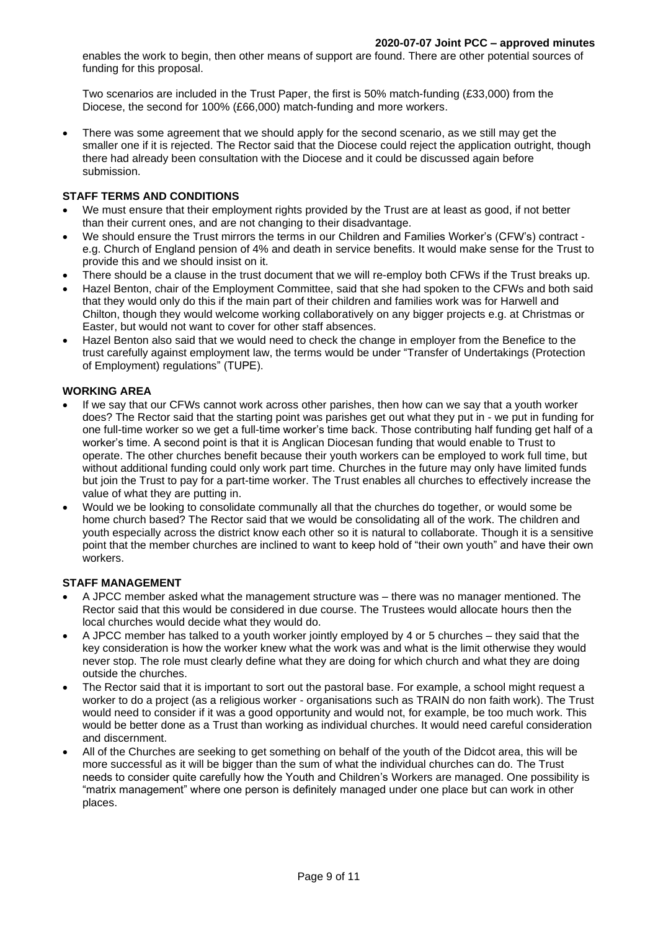enables the work to begin, then other means of support are found. There are other potential sources of funding for this proposal.

Two scenarios are included in the Trust Paper, the first is 50% match-funding (£33,000) from the Diocese, the second for 100% (£66,000) match-funding and more workers.

• There was some agreement that we should apply for the second scenario, as we still may get the smaller one if it is rejected. The Rector said that the Diocese could reject the application outright, though there had already been consultation with the Diocese and it could be discussed again before submission.

#### **STAFF TERMS AND CONDITIONS**

- We must ensure that their employment rights provided by the Trust are at least as good, if not better than their current ones, and are not changing to their disadvantage.
- We should ensure the Trust mirrors the terms in our Children and Families Worker's (CFW's) contract e.g. Church of England pension of 4% and death in service benefits. It would make sense for the Trust to provide this and we should insist on it.
- There should be a clause in the trust document that we will re-employ both CFWs if the Trust breaks up.
- Hazel Benton, chair of the Employment Committee, said that she had spoken to the CFWs and both said that they would only do this if the main part of their children and families work was for Harwell and Chilton, though they would welcome working collaboratively on any bigger projects e.g. at Christmas or Easter, but would not want to cover for other staff absences.
- Hazel Benton also said that we would need to check the change in employer from the Benefice to the trust carefully against employment law, the terms would be under "Transfer of Undertakings (Protection of Employment) regulations" (TUPE).

#### **WORKING AREA**

- If we say that our CFWs cannot work across other parishes, then how can we say that a youth worker does? The Rector said that the starting point was parishes get out what they put in - we put in funding for one full-time worker so we get a full-time worker's time back. Those contributing half funding get half of a worker's time. A second point is that it is Anglican Diocesan funding that would enable to Trust to operate. The other churches benefit because their youth workers can be employed to work full time, but without additional funding could only work part time. Churches in the future may only have limited funds but join the Trust to pay for a part-time worker. The Trust enables all churches to effectively increase the value of what they are putting in.
- Would we be looking to consolidate communally all that the churches do together, or would some be home church based? The Rector said that we would be consolidating all of the work. The children and youth especially across the district know each other so it is natural to collaborate. Though it is a sensitive point that the member churches are inclined to want to keep hold of "their own youth" and have their own workers.

#### **STAFF MANAGEMENT**

- A JPCC member asked what the management structure was there was no manager mentioned. The Rector said that this would be considered in due course. The Trustees would allocate hours then the local churches would decide what they would do.
- A JPCC member has talked to a youth worker jointly employed by 4 or 5 churches they said that the key consideration is how the worker knew what the work was and what is the limit otherwise they would never stop. The role must clearly define what they are doing for which church and what they are doing outside the churches.
- The Rector said that it is important to sort out the pastoral base. For example, a school might request a worker to do a project (as a religious worker - organisations such as TRAIN do non faith work). The Trust would need to consider if it was a good opportunity and would not, for example, be too much work. This would be better done as a Trust than working as individual churches. It would need careful consideration and discernment.
- All of the Churches are seeking to get something on behalf of the youth of the Didcot area, this will be more successful as it will be bigger than the sum of what the individual churches can do. The Trust needs to consider quite carefully how the Youth and Children's Workers are managed. One possibility is "matrix management" where one person is definitely managed under one place but can work in other places.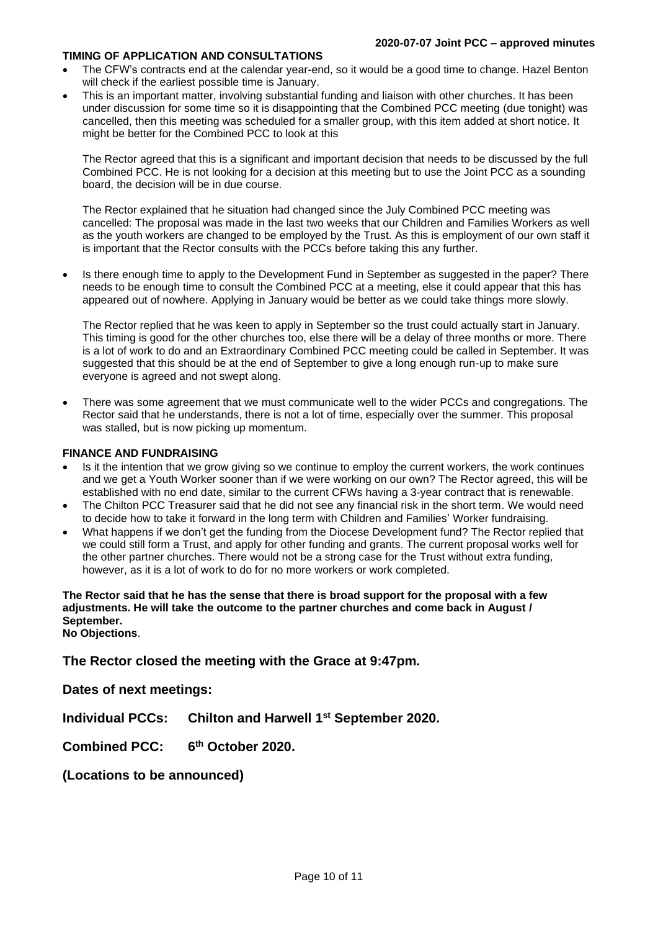#### **TIMING OF APPLICATION AND CONSULTATIONS**

- The CFW's contracts end at the calendar year-end, so it would be a good time to change. Hazel Benton will check if the earliest possible time is January.
- This is an important matter, involving substantial funding and liaison with other churches. It has been under discussion for some time so it is disappointing that the Combined PCC meeting (due tonight) was cancelled, then this meeting was scheduled for a smaller group, with this item added at short notice. It might be better for the Combined PCC to look at this

The Rector agreed that this is a significant and important decision that needs to be discussed by the full Combined PCC. He is not looking for a decision at this meeting but to use the Joint PCC as a sounding board, the decision will be in due course.

The Rector explained that he situation had changed since the July Combined PCC meeting was cancelled: The proposal was made in the last two weeks that our Children and Families Workers as well as the youth workers are changed to be employed by the Trust. As this is employment of our own staff it is important that the Rector consults with the PCCs before taking this any further.

Is there enough time to apply to the Development Fund in September as suggested in the paper? There needs to be enough time to consult the Combined PCC at a meeting, else it could appear that this has appeared out of nowhere. Applying in January would be better as we could take things more slowly.

The Rector replied that he was keen to apply in September so the trust could actually start in January. This timing is good for the other churches too, else there will be a delay of three months or more. There is a lot of work to do and an Extraordinary Combined PCC meeting could be called in September. It was suggested that this should be at the end of September to give a long enough run-up to make sure everyone is agreed and not swept along.

• There was some agreement that we must communicate well to the wider PCCs and congregations. The Rector said that he understands, there is not a lot of time, especially over the summer. This proposal was stalled, but is now picking up momentum.

#### **FINANCE AND FUNDRAISING**

- Is it the intention that we grow giving so we continue to employ the current workers, the work continues and we get a Youth Worker sooner than if we were working on our own? The Rector agreed, this will be established with no end date, similar to the current CFWs having a 3-year contract that is renewable.
- The Chilton PCC Treasurer said that he did not see any financial risk in the short term. We would need to decide how to take it forward in the long term with Children and Families' Worker fundraising.
- What happens if we don't get the funding from the Diocese Development fund? The Rector replied that we could still form a Trust, and apply for other funding and grants. The current proposal works well for the other partner churches. There would not be a strong case for the Trust without extra funding, however, as it is a lot of work to do for no more workers or work completed.

**The Rector said that he has the sense that there is broad support for the proposal with a few adjustments. He will take the outcome to the partner churches and come back in August / September. No Objections**.

**The Rector closed the meeting with the Grace at 9:47pm.**

**Dates of next meetings:**

**Individual PCCs: Chilton and Harwell 1 st September 2020.**

Combined PCC: **th October 2020.**

**(Locations to be announced)**